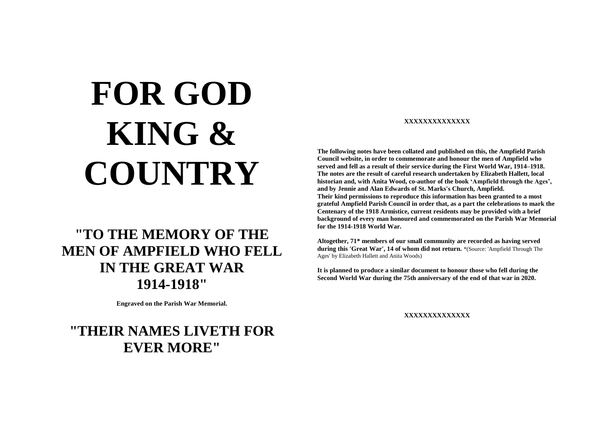# **FOR GOD KING & COUNTRY**

## **"TO THE MEMORY OF THE MEN OF AMPFIELD WHO FELL IN THE GREAT WAR 1914-1918"**

**XXXXXXXXXXXXXX**

**The following notes have been collated and published on this, the Ampfield Parish Council website, in order to commemorate and honour the men of Ampfield who served and fell as a result of their service during the First World War, 1914–1918. The notes are the result of careful research undertaken by Elizabeth Hallett, local historian and, with Anita Wood, co-author of the book 'Ampfield through the Ages', and by Jennie and Alan Edwards of St. Marks's Church, Ampfield. Their kind permissions to reproduce this information has been granted to a most grateful Ampfield Parish Council in order that, as a part the celebrations to mark the Centenary of the 1918 Armistice, current residents may be provided with a brief background of every man honoured and commemorated on the Parish War Memorial for the 1914-1918 World War.**

**Altogether, 71\* members of our small community are recorded as having served during this 'Great War', 14 of whom did not return.** \*(Source: 'Ampfield Through The Ages' by Elizabeth Hallett and Anita Woods)

**It is planned to produce a similar document to honour those who fell during the Second World War during the 75th anniversary of the end of that war in 2020.**

**Engraved on the Parish War Memorial.**

**XXXXXXXXXXXXXX**

### **"THEIR NAMES LIVETH FOR EVER MORE"**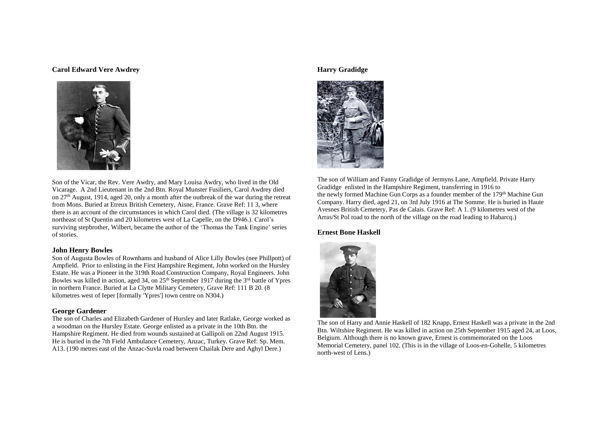#### **Carol Edward Vere Awdrey**



Son of the Vicar, the Rev. Vere Awdry, and Mary Louisa Awdry, who lived in the Old Vicarage. A 2nd Lieutenant in the 2nd Btn. Royal Munster Fusiliers, Carol Awdrey died on 27th August, 1914, aged 20, only a month after the outbreak of the war during the retreat from Mons. Buried at Etreux British Cemetery, Aisne, France. Grave Ref: 11 3, where there is an account of the circumstances in which Carol died. (The village is 32 kilometres northeast of St Quentin and 20 kilometres west of La Capelle, on the D946.). Carol's surviving stepbrother, Wilbert, became the author of the 'Thomas the Tank Engine' series of stories.

#### **John Henry Bowles**

Son of Augusta Bowles of Rownhams and husband of Alice Lilly Bowles (nee Phillpott) of Ampfield. Prior to enlisting in the First Hampshire Regiment, John worked on the Hursley Estate. He was a Pioneer in the 319th Road Construction Company, Royal Engineers. John Bowles was killed in action, aged 34, on 25th September 1917 during the 3rd battle of Ypres in northern France. Buried at La Clytte Military Cemetery, Grave Ref: 111 B 20. (8 kilometres west of Ieper [formally 'Ypres'] town centre on N304.)

#### **George Gardener**

The son of Charles and Elizabeth Gardener of Hursley and later Ratlake, George worked as a woodman on the Hursley Estate. George enlisted as a private in the 10th Btn. the Hampshire Regiment. He died from wounds sustained at Gallipoli on 22nd August 1915. He is buried in the 7th Field Ambulance Cemetery, Anzac, Turkey. Grave Ref: Sp. Mem. A13. (190 metres east of the Anzac-Suvla road between Chailak Dere and Aghyl Dere.)

#### **Harry Gradidge**



The son of William and Fanny Gradidge of Jermyns Lane, Ampfield. Private Harry Gradidge enlisted in the Hampshire Regiment, transferring in 1916 to the newly formed Machine Gun Corps as a founder member of the 179th Machine Gun Company. Harry died, aged 21, on 3rd July 1916 at The Somme. He is buried in Haute Avesnes British Cemetery, Pas de Calais. Grave Ref: A 1. (9 kilometres west of the Arras/St Pol road to the north of the village on the road leading to Habarcq.)

#### **Ernest Bone Haskell**



The son of Harry and Annie Haskell of 182 Knapp, Ernest Haskell was a private in the 2nd Btn. Wiltshire Regiment. He was killed in action on 25th September 1915 aged 24, at Loos, Belgium. Although there is no known grave, Ernest is commemorated on the Loos Memorial Cemetery, panel 102. (This is in the village of Loos-en-Gohelle, 5 kilometres north-west of Lens.)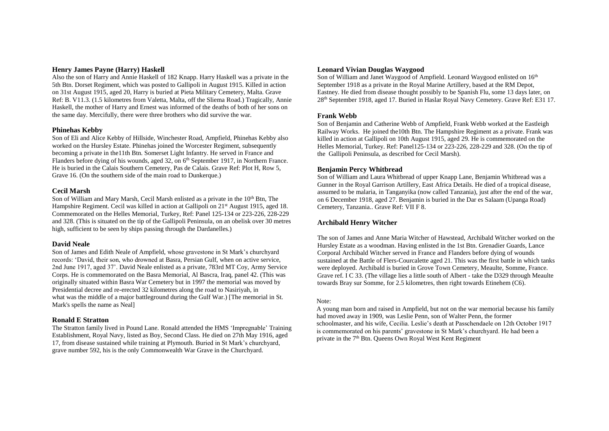#### **Henry James Payne (Harry) Haskell**

Also the son of Harry and Annie Haskell of 182 Knapp. Harry Haskell was a private in the 5th Btn. Dorset Regiment, which was posted to Gallipoli in August 1915. Killed in action on 31st August 1915, aged 20, Harry is buried at Pieta Military Cemetery, Malta. Grave Ref: B. V11.3. (1.5 kilometres from Valetta, Malta, off the Sliema Road.) Tragically, Annie Haskell, the mother of Harry and Ernest was informed of the deaths of both of her sons on the same day. Mercifully, there were three brothers who did survive the war.

#### **Phinehas Kebby**

Son of Eli and Alice Kebby of Hillside, Winchester Road, Ampfield, Phinehas Kebby also worked on the Hursley Estate. Phinehas joined the Worcester Regiment, subsequently becoming a private in the11th Btn. Somerset Light Infantry. He served in France and Flanders before dying of his wounds, aged 32, on 6<sup>th</sup> September 1917, in Northern France. He is buried in the Calais Southern Cemetery, Pas de Calais. Grave Ref: Plot H, Row 5, Grave 16. (On the southern side of the main road to Dunkerque.)

#### **Cecil Marsh**

Son of William and Mary Marsh, Cecil Marsh enlisted as a private in the  $10<sup>th</sup>$  Btn, The Hampshire Regiment. Cecil was killed in action at Gallipoli on 21<sup>st</sup> August 1915, aged 18. Commemorated on the Helles Memorial, Turkey, Ref: Panel 125-134 or 223-226, 228-229 and 328. (This is situated on the tip of the Gallipoli Peninsula, on an obelisk over 30 metres high, sufficient to be seen by ships passing through the Dardanelles.)

#### **David Neale**

Son of James and Edith Neale of Ampfield, whose gravestone in St Mark's churchyard records: 'David, their son, who drowned at Basra, Persian Gulf, when on active service, 2nd June 1917, aged 37'. David Neale enlisted as a private, 783rd MT Coy, Army Service Corps. He is commemorated on the Basra Memorial, Al Bascra, Iraq, panel 42. (This was originally situated within Basra War Cemetery but in 1997 the memorial was moved by Presidential decree and re-erected 32 kilometres along the road to Nasiriyah, in what was the middle of a major battleground during the Gulf War.) [The memorial in St. Mark's spells the name as Neal]

#### **Ronald E Stratton**

The Stratton family lived in Pound Lane. Ronald attended the HMS 'Impregnable' Training Establishment, Royal Navy, listed as Boy, Second Class. He died on 27th May 1916, aged 17, from disease sustained while training at Plymouth. Buried in St Mark's churchyard, grave number 592, his is the only Commonwealth War Grave in the Churchyard.

#### **Leonard Vivian Douglas Waygood**

Son of William and Janet Waygood of Ampfield. Leonard Waygood enlisted on 16<sup>th</sup> September 1918 as a private in the Royal Marine Artillery, based at the RM Depot, Eastney. He died from disease thought possibly to be Spanish Flu, some 13 days later, on 28th September 1918, aged 17. Buried in Haslar Royal Navy Cemetery. Grave Ref: E31 17.

#### **Frank Webb**

Son of Benjamin and Catherine Webb of Ampfield, Frank Webb worked at the Eastleigh Railway Works. He joined the10th Btn. The Hampshire Regiment as a private. Frank was killed in action at Gallipoli on 10th August 1915, aged 29. He is commemorated on the Helles Memorial, Turkey. Ref: Panel125-134 or 223-226, 228-229 and 328. (On the tip of the Gallipoli Peninsula, as described for Cecil Marsh).

#### **Benjamin Percy Whitbread**

Son of William and Laura Whitbread of upper Knapp Lane, Benjamin Whitbread was a Gunner in the Royal Garrison Artillery, East Africa Details. He died of a tropical disease, assumed to be malaria, in Tanganyika (now called Tanzania), just after the end of the war, on 6 December 1918, aged 27. Benjamin is buried in the Dar es Salaam (Upanga Road) Cemetery, Tanzania.. Grave Ref: VII F 8.

#### **Archibald Henry Witcher**

The son of James and Anne Maria Witcher of Hawstead, Archibald Witcher worked on the Hursley Estate as a woodman. Having enlisted in the 1st Btn. Grenadier Guards, Lance Corporal Archibald Witcher served in France and Flanders before dying of wounds sustained at the Battle of Flers-Courcalette aged 21. This was the first battle in which tanks were deployed. Archibald is buried in Grove Town Cemetery, Meaulte, Somme, France. Grave ref. I C 33. (The village lies a little south of Albert - take the D329 through Meaulte towards Bray sur Somme, for 2.5 kilometres, then right towards Etinehem (C6).

#### Note:

A young man born and raised in Ampfield, but not on the war memorial because his family had moved away in 1909, was Leslie Penn, son of Walter Penn, the former schoolmaster, and his wife, Cecilia. Leslie's death at Passchendaele on 12th October 1917 is commemorated on his parents' gravestone in St Mark's churchyard. He had been a private in the 7th Btn. Queens Own Royal West Kent Regiment